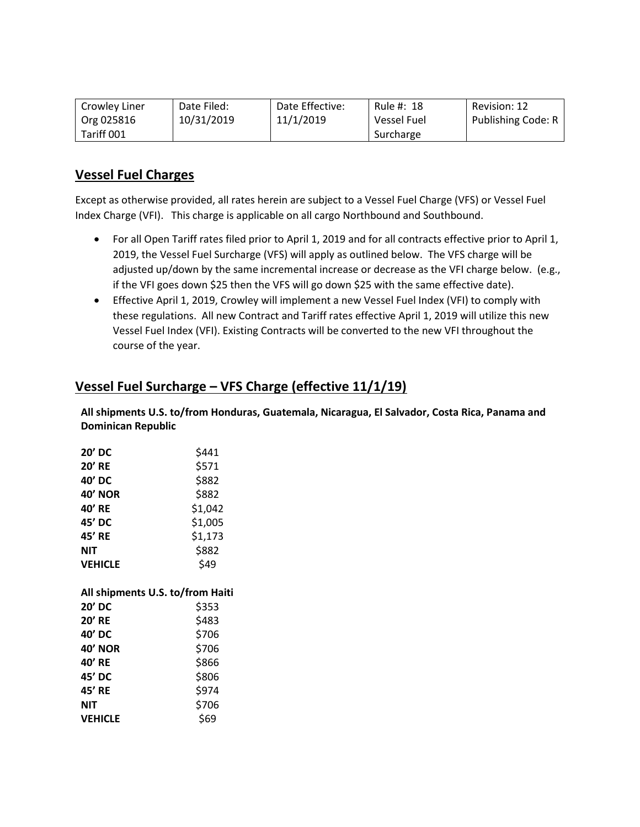| Crowley Liner | Date Filed: | Date Effective: | Rule #: 18  | Revision: 12       |
|---------------|-------------|-----------------|-------------|--------------------|
| Org 025816    | 10/31/2019  | 11/1/2019       | Vessel Fuel | Publishing Code: R |
| Tariff 001    |             |                 | Surcharge   |                    |

# Vessel Fuel Charges

Except as otherwise provided, all rates herein are subject to a Vessel Fuel Charge (VFS) or Vessel Fuel Index Charge (VFI). This charge is applicable on all cargo Northbound and Southbound.

- For all Open Tariff rates filed prior to April 1, 2019 and for all contracts effective prior to April 1, 2019, the Vessel Fuel Surcharge (VFS) will apply as outlined below. The VFS charge will be adjusted up/down by the same incremental increase or decrease as the VFI charge below. (e.g., if the VFI goes down \$25 then the VFS will go down \$25 with the same effective date).
- Effective April 1, 2019, Crowley will implement a new Vessel Fuel Index (VFI) to comply with these regulations. All new Contract and Tariff rates effective April 1, 2019 will utilize this new Vessel Fuel Index (VFI). Existing Contracts will be converted to the new VFI throughout the course of the year.

## Vessel Fuel Surcharge – VFS Charge (effective 11/1/19)

All shipments U.S. to/from Honduras, Guatemala, Nicaragua, El Salvador, Costa Rica, Panama and Dominican Republic

| 20' DC                           | \$441   |
|----------------------------------|---------|
| <b>20' RE</b>                    | \$571   |
| 40' DC                           | \$882   |
| <b>40' NOR</b>                   | \$882   |
| 40' RE                           | \$1,042 |
| 45' DC                           | \$1,005 |
| 45' RE                           | \$1,173 |
| <b>NIT</b>                       | \$882   |
| <b>VEHICLE</b>                   | \$49    |
|                                  |         |
| All shipments U.S. to/from Haiti |         |
| 20' DC                           | \$353   |
| <b>20' RE</b>                    | \$483   |
| 40' DC                           | \$706   |
| <b>40' NOR</b>                   | \$706   |
| 40' RE                           | \$866   |
| 45' DC                           | \$806   |
| 45' RE                           | \$974   |
| <b>NIT</b>                       | \$706   |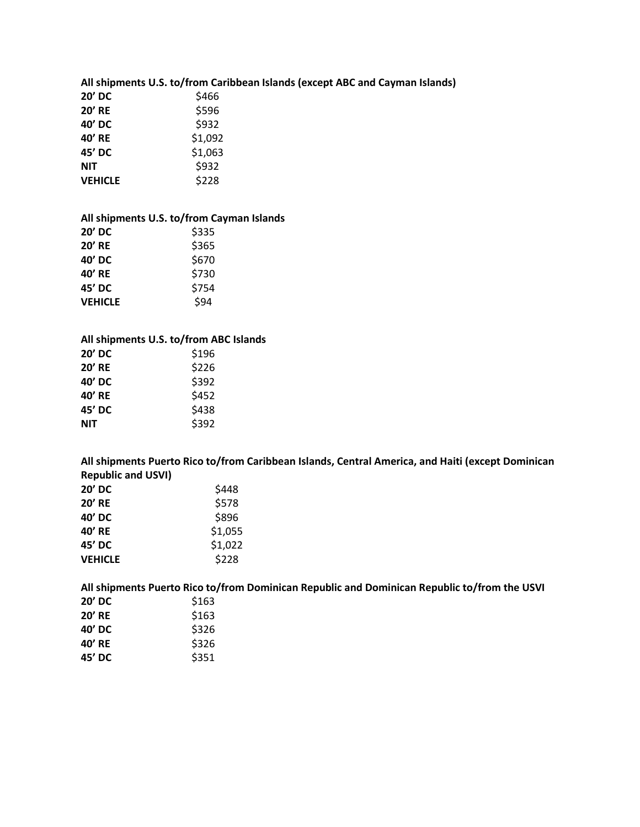|                | All shipments U.S. to/from Caribbean Islands (except ABC and Cayman Islands) |
|----------------|------------------------------------------------------------------------------|
| <b>20' DC</b>  | \$466                                                                        |
| <b>20' RE</b>  | \$596                                                                        |
| 40' DC         | \$932                                                                        |
| 40' RE         | \$1,092                                                                      |
| 45' DC         | \$1,063                                                                      |
| <b>NIT</b>     | \$932                                                                        |
| <b>VEHICLE</b> | \$228                                                                        |

### All shipments U.S. to/from Cayman Islands

| $20'$ DC       | \$335 |
|----------------|-------|
| <b>20' RE</b>  | \$365 |
| 40' DC         | \$670 |
| 40' RE         | \$730 |
| 45' DC         | \$754 |
| <b>VEHICLE</b> | \$94  |

### All shipments U.S. to/from ABC Islands

| \$196 |
|-------|
| \$226 |
| \$392 |
| \$452 |
| \$438 |
| \$392 |
|       |

All shipments Puerto Rico to/from Caribbean Islands, Central America, and Haiti (except Dominican Republic and USVI)

| 20' DC         | \$448   |
|----------------|---------|
| <b>20' RE</b>  | \$578   |
| 40' DC         | \$896   |
| 40' RE         | \$1,055 |
| 45' DC         | \$1,022 |
| <b>VEHICLE</b> | \$228   |

All shipments Puerto Rico to/from Dominican Republic and Dominican Republic to/from the USVI<br>20' DC  $\frac{\sin 63}$  $20'$  ממ $\overline{C}$ 

| ZU DL         | د טב ډ |
|---------------|--------|
| <b>20' RE</b> | \$163  |
| 40' DC        | \$326  |
| 40' RE        | \$326  |
| 45' DC        | \$351  |
|               |        |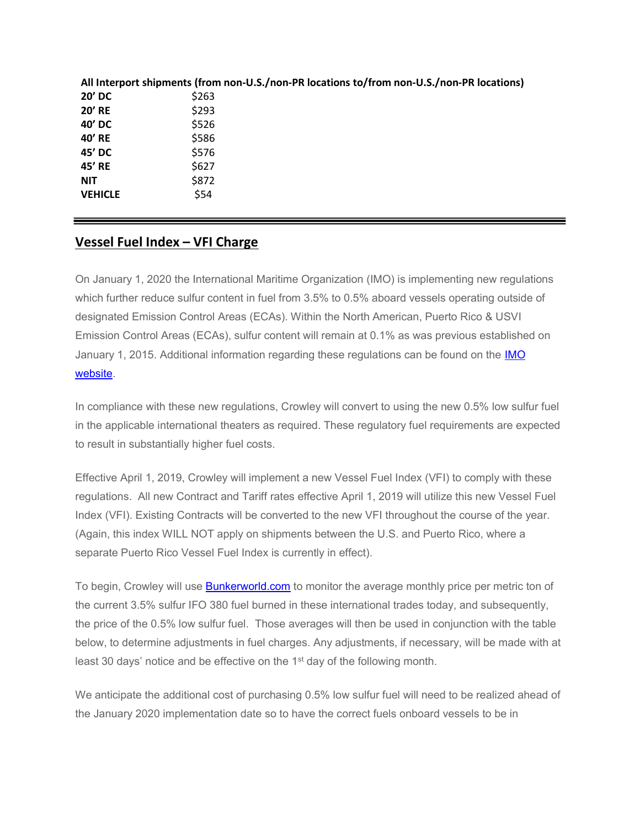|                | All Interport shipments (from non-U.S./non-PR locations to/from non-U.S./non-PR locations) |
|----------------|--------------------------------------------------------------------------------------------|
| 20' DC         | \$263                                                                                      |
| <b>20' RE</b>  | \$293                                                                                      |
| 40' DC         | \$526                                                                                      |
| 40' RE         | \$586                                                                                      |
| 45' DC         | \$576                                                                                      |
| 45' RE         | \$627                                                                                      |
| <b>NIT</b>     | \$872                                                                                      |
| <b>VEHICLE</b> | \$54                                                                                       |

### Vessel Fuel Index - VFI Charge

On January 1, 2020 the International Maritime Organization (IMO) is implementing new regulations which further reduce sulfur content in fuel from 3.5% to 0.5% aboard vessels operating outside of designated Emission Control Areas (ECAs). Within the North American, Puerto Rico & USVI Emission Control Areas (ECAs), sulfur content will remain at 0.1% as was previous established on January 1, 2015. Additional information regarding these regulations can be found on the IMO website.

In compliance with these new regulations, Crowley will convert to using the new 0.5% low sulfur fuel in the applicable international theaters as required. These regulatory fuel requirements are expected to result in substantially higher fuel costs.

Effective April 1, 2019, Crowley will implement a new Vessel Fuel Index (VFI) to comply with these regulations. All new Contract and Tariff rates effective April 1, 2019 will utilize this new Vessel Fuel Index (VFI). Existing Contracts will be converted to the new VFI throughout the course of the year. (Again, this index WILL NOT apply on shipments between the U.S. and Puerto Rico, where a separate Puerto Rico Vessel Fuel Index is currently in effect).

To begin, Crowley will use **Bunkerworld.com** to monitor the average monthly price per metric ton of the current 3.5% sulfur IFO 380 fuel burned in these international trades today, and subsequently, the price of the 0.5% low sulfur fuel. Those averages will then be used in conjunction with the table below, to determine adjustments in fuel charges. Any adjustments, if necessary, will be made with at least 30 days' notice and be effective on the 1<sup>st</sup> day of the following month.

We anticipate the additional cost of purchasing 0.5% low sulfur fuel will need to be realized ahead of the January 2020 implementation date so to have the correct fuels onboard vessels to be in